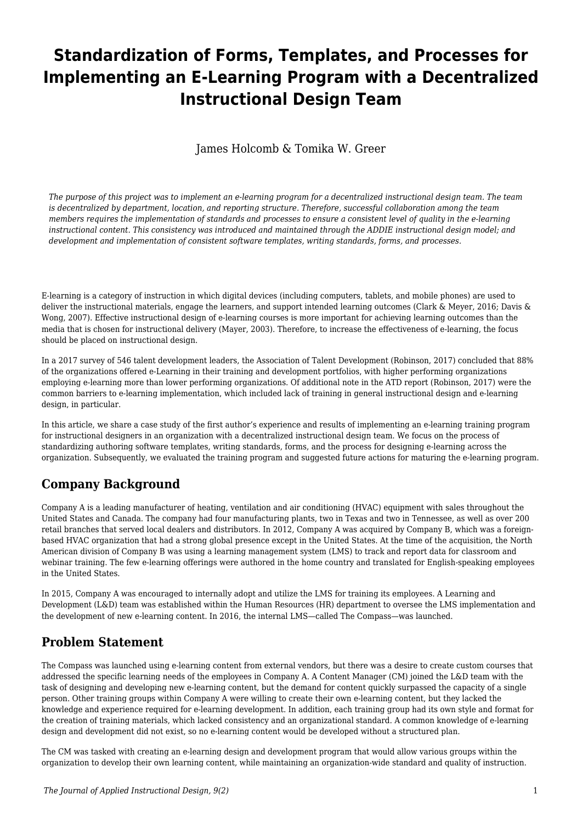# **Standardization of Forms, Templates, and Processes for Implementing an E-Learning Program with a Decentralized Instructional Design Team**

James Holcomb & Tomika W. Greer

*The purpose of this project was to implement an e-learning program for a decentralized instructional design team. The team is decentralized by department, location, and reporting structure. Therefore, successful collaboration among the team members requires the implementation of standards and processes to ensure a consistent level of quality in the e-learning instructional content. This consistency was introduced and maintained through the ADDIE instructional design model; and development and implementation of consistent software templates, writing standards, forms, and processes.*

E-learning is a category of instruction in which digital devices (including computers, tablets, and mobile phones) are used to deliver the instructional materials, engage the learners, and support intended learning outcomes (Clark & Meyer, 2016; Davis & Wong, 2007). Effective instructional design of e-learning courses is more important for achieving learning outcomes than the media that is chosen for instructional delivery (Mayer, 2003). Therefore, to increase the effectiveness of e-learning, the focus should be placed on instructional design.

In a 2017 survey of 546 talent development leaders, the Association of Talent Development (Robinson, 2017) concluded that 88% of the organizations offered e-Learning in their training and development portfolios, with higher performing organizations employing e-learning more than lower performing organizations. Of additional note in the ATD report (Robinson, 2017) were the common barriers to e-learning implementation, which included lack of training in general instructional design and e-learning design, in particular.

In this article, we share a case study of the first author's experience and results of implementing an e-learning training program for instructional designers in an organization with a decentralized instructional design team. We focus on the process of standardizing authoring software templates, writing standards, forms, and the process for designing e-learning across the organization. Subsequently, we evaluated the training program and suggested future actions for maturing the e-learning program.

# **Company Background**

Company A is a leading manufacturer of heating, ventilation and air conditioning (HVAC) equipment with sales throughout the United States and Canada. The company had four manufacturing plants, two in Texas and two in Tennessee, as well as over 200 retail branches that served local dealers and distributors. In 2012, Company A was acquired by Company B, which was a foreignbased HVAC organization that had a strong global presence except in the United States. At the time of the acquisition, the North American division of Company B was using a learning management system (LMS) to track and report data for classroom and webinar training. The few e-learning offerings were authored in the home country and translated for English-speaking employees in the United States.

In 2015, Company A was encouraged to internally adopt and utilize the LMS for training its employees. A Learning and Development (L&D) team was established within the Human Resources (HR) department to oversee the LMS implementation and the development of new e-learning content. In 2016, the internal LMS—called The Compass—was launched.

# **Problem Statement**

The Compass was launched using e-learning content from external vendors, but there was a desire to create custom courses that addressed the specific learning needs of the employees in Company A. A Content Manager (CM) joined the L&D team with the task of designing and developing new e-learning content, but the demand for content quickly surpassed the capacity of a single person. Other training groups within Company A were willing to create their own e-learning content, but they lacked the knowledge and experience required for e-learning development. In addition, each training group had its own style and format for the creation of training materials, which lacked consistency and an organizational standard. A common knowledge of e-learning design and development did not exist, so no e-learning content would be developed without a structured plan.

The CM was tasked with creating an e-learning design and development program that would allow various groups within the organization to develop their own learning content, while maintaining an organization-wide standard and quality of instruction.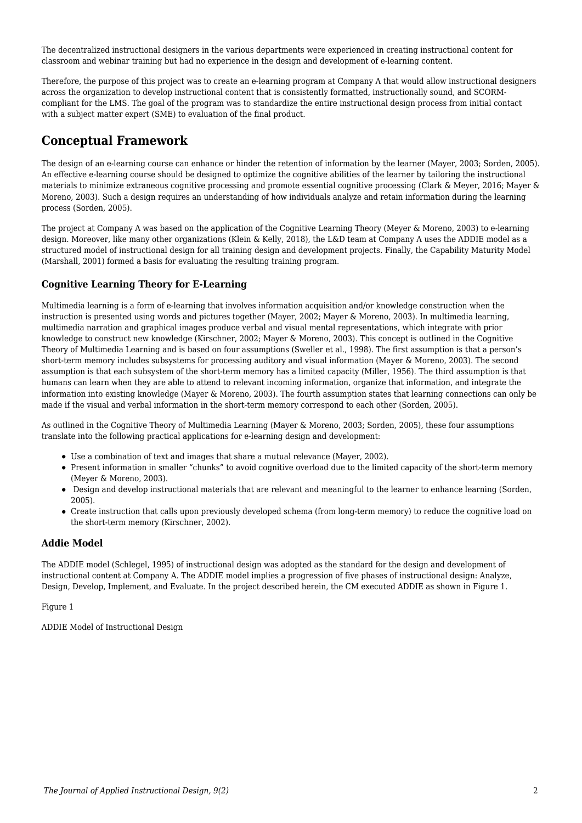The decentralized instructional designers in the various departments were experienced in creating instructional content for classroom and webinar training but had no experience in the design and development of e-learning content.

Therefore, the purpose of this project was to create an e-learning program at Company A that would allow instructional designers across the organization to develop instructional content that is consistently formatted, instructionally sound, and SCORMcompliant for the LMS. The goal of the program was to standardize the entire instructional design process from initial contact with a subject matter expert (SME) to evaluation of the final product.

### **Conceptual Framework**

The design of an e-learning course can enhance or hinder the retention of information by the learner (Mayer, 2003; Sorden, 2005). An effective e-learning course should be designed to optimize the cognitive abilities of the learner by tailoring the instructional materials to minimize extraneous cognitive processing and promote essential cognitive processing (Clark & Meyer, 2016; Mayer & Moreno, 2003). Such a design requires an understanding of how individuals analyze and retain information during the learning process (Sorden, 2005).

The project at Company A was based on the application of the Cognitive Learning Theory (Meyer & Moreno, 2003) to e-learning design. Moreover, like many other organizations (Klein & Kelly, 2018), the L&D team at Company A uses the ADDIE model as a structured model of instructional design for all training design and development projects. Finally, the Capability Maturity Model (Marshall, 2001) formed a basis for evaluating the resulting training program.

#### **Cognitive Learning Theory for E-Learning**

Multimedia learning is a form of e-learning that involves information acquisition and/or knowledge construction when the instruction is presented using words and pictures together (Mayer, 2002; Mayer & Moreno, 2003). In multimedia learning, multimedia narration and graphical images produce verbal and visual mental representations, which integrate with prior knowledge to construct new knowledge (Kirschner, 2002; Mayer & Moreno, 2003). This concept is outlined in the Cognitive Theory of Multimedia Learning and is based on four assumptions (Sweller et al., 1998). The first assumption is that a person's short-term memory includes subsystems for processing auditory and visual information (Mayer & Moreno, 2003). The second assumption is that each subsystem of the short-term memory has a limited capacity (Miller, 1956). The third assumption is that humans can learn when they are able to attend to relevant incoming information, organize that information, and integrate the information into existing knowledge (Mayer & Moreno, 2003). The fourth assumption states that learning connections can only be made if the visual and verbal information in the short-term memory correspond to each other (Sorden, 2005).

As outlined in the Cognitive Theory of Multimedia Learning (Mayer & Moreno, 2003; Sorden, 2005), these four assumptions translate into the following practical applications for e-learning design and development:

- Use a combination of text and images that share a mutual relevance (Mayer, 2002).
- Present information in smaller "chunks" to avoid cognitive overload due to the limited capacity of the short-term memory (Meyer & Moreno, 2003).
- Design and develop instructional materials that are relevant and meaningful to the learner to enhance learning (Sorden, 2005).
- Create instruction that calls upon previously developed schema (from long-term memory) to reduce the cognitive load on the short-term memory (Kirschner, 2002).

#### **Addie Model**

The ADDIE model (Schlegel, 1995) of instructional design was adopted as the standard for the design and development of instructional content at Company A. The ADDIE model implies a progression of five phases of instructional design: Analyze, Design, Develop, Implement, and Evaluate. In the project described herein, the CM executed ADDIE as shown in Figure 1.

#### Figure 1

ADDIE Model of Instructional Design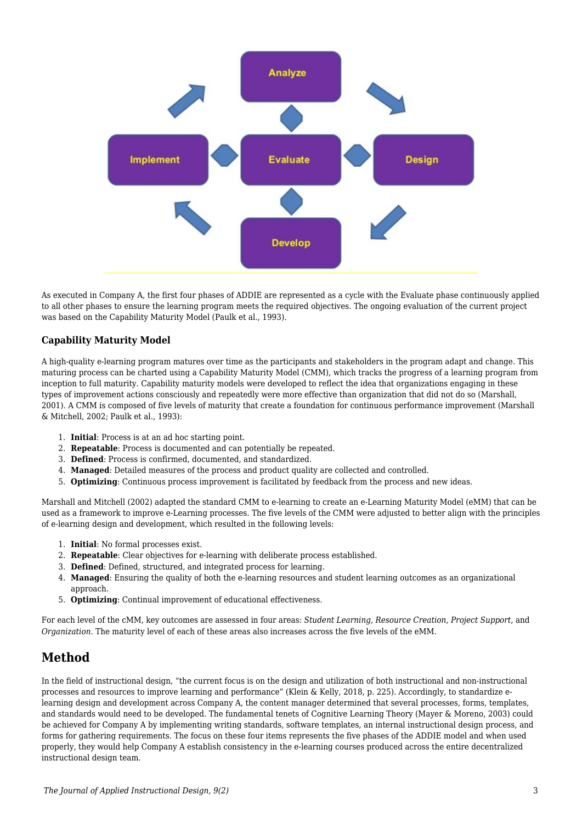

As executed in Company A, the first four phases of ADDIE are represented as a cycle with the Evaluate phase continuously applied to all other phases to ensure the learning program meets the required objectives. The ongoing evaluation of the current project was based on the Capability Maturity Model (Paulk et al., 1993).

#### **Capability Maturity Model**

A high-quality e-learning program matures over time as the participants and stakeholders in the program adapt and change. This maturing process can be charted using a Capability Maturity Model (CMM), which tracks the progress of a learning program from inception to full maturity. Capability maturity models were developed to reflect the idea that organizations engaging in these types of improvement actions consciously and repeatedly were more effective than organization that did not do so (Marshall, 2001). A CMM is composed of five levels of maturity that create a foundation for continuous performance improvement (Marshall & Mitchell, 2002; Paulk et al., 1993):

- 1. **Initial**: Process is at an ad hoc starting point.
- 2. **Repeatable**: Process is documented and can potentially be repeated.
- 3. **Defined**: Process is confirmed, documented, and standardized.
- 4. **Managed**: Detailed measures of the process and product quality are collected and controlled.
- 5. **Optimizing**: Continuous process improvement is facilitated by feedback from the process and new ideas.

Marshall and Mitchell (2002) adapted the standard CMM to e-learning to create an e-Learning Maturity Model (eMM) that can be used as a framework to improve e-Learning processes. The five levels of the CMM were adjusted to better align with the principles of e-learning design and development, which resulted in the following levels:

- 1. **Initial**: No formal processes exist.
- 2. **Repeatable**: Clear objectives for e-learning with deliberate process established.
- 3. **Defined**: Defined, structured, and integrated process for learning.
- 4. **Managed**: Ensuring the quality of both the e-learning resources and student learning outcomes as an organizational approach.
- 5. **Optimizing**: Continual improvement of educational effectiveness.

For each level of the cMM, key outcomes are assessed in four areas: *Student Learning*, *Resource Creation*, *Project Support*, and *Organization*. The maturity level of each of these areas also increases across the five levels of the eMM.

# **Method**

In the field of instructional design, "the current focus is on the design and utilization of both instructional and non-instructional processes and resources to improve learning and performance" (Klein & Kelly, 2018, p. 225). Accordingly, to standardize elearning design and development across Company A, the content manager determined that several processes, forms, templates, and standards would need to be developed. The fundamental tenets of Cognitive Learning Theory (Mayer & Moreno, 2003) could be achieved for Company A by implementing writing standards, software templates, an internal instructional design process, and forms for gathering requirements. The focus on these four items represents the five phases of the ADDIE model and when used properly, they would help Company A establish consistency in the e-learning courses produced across the entire decentralized instructional design team.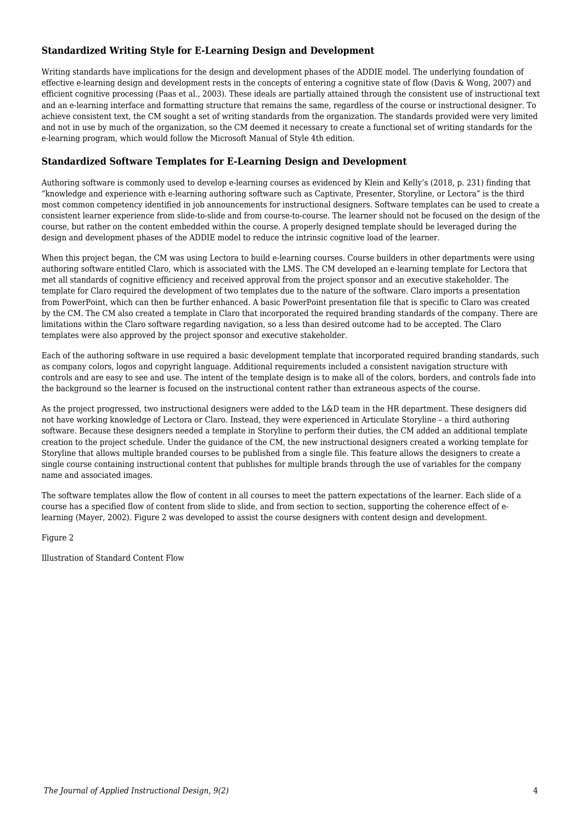#### **Standardized Writing Style for E-Learning Design and Development**

Writing standards have implications for the design and development phases of the ADDIE model. The underlying foundation of effective e-learning design and development rests in the concepts of entering a cognitive state of flow (Davis & Wong, 2007) and efficient cognitive processing (Paas et al., 2003). These ideals are partially attained through the consistent use of instructional text and an e-learning interface and formatting structure that remains the same, regardless of the course or instructional designer. To achieve consistent text, the CM sought a set of writing standards from the organization. The standards provided were very limited and not in use by much of the organization, so the CM deemed it necessary to create a functional set of writing standards for the e-learning program, which would follow the Microsoft Manual of Style 4th edition.

#### **Standardized Software Templates for E-Learning Design and Development**

Authoring software is commonly used to develop e-learning courses as evidenced by Klein and Kelly's (2018, p. 231) finding that "knowledge and experience with e-learning authoring software such as Captivate, Presenter, Storyline, or Lectora" is the third most common competency identified in job announcements for instructional designers. Software templates can be used to create a consistent learner experience from slide-to-slide and from course-to-course. The learner should not be focused on the design of the course, but rather on the content embedded within the course. A properly designed template should be leveraged during the design and development phases of the ADDIE model to reduce the intrinsic cognitive load of the learner.

When this project began, the CM was using Lectora to build e-learning courses. Course builders in other departments were using authoring software entitled Claro, which is associated with the LMS. The CM developed an e-learning template for Lectora that met all standards of cognitive efficiency and received approval from the project sponsor and an executive stakeholder. The template for Claro required the development of two templates due to the nature of the software. Claro imports a presentation from PowerPoint, which can then be further enhanced. A basic PowerPoint presentation file that is specific to Claro was created by the CM. The CM also created a template in Claro that incorporated the required branding standards of the company. There are limitations within the Claro software regarding navigation, so a less than desired outcome had to be accepted. The Claro templates were also approved by the project sponsor and executive stakeholder.

Each of the authoring software in use required a basic development template that incorporated required branding standards, such as company colors, logos and copyright language. Additional requirements included a consistent navigation structure with controls and are easy to see and use. The intent of the template design is to make all of the colors, borders, and controls fade into the background so the learner is focused on the instructional content rather than extraneous aspects of the course.

As the project progressed, two instructional designers were added to the L&D team in the HR department. These designers did not have working knowledge of Lectora or Claro. Instead, they were experienced in Articulate Storyline – a third authoring software. Because these designers needed a template in Storyline to perform their duties, the CM added an additional template creation to the project schedule. Under the guidance of the CM, the new instructional designers created a working template for Storyline that allows multiple branded courses to be published from a single file. This feature allows the designers to create a single course containing instructional content that publishes for multiple brands through the use of variables for the company name and associated images.

The software templates allow the flow of content in all courses to meet the pattern expectations of the learner. Each slide of a course has a specified flow of content from slide to slide, and from section to section, supporting the coherence effect of elearning (Mayer, 2002). Figure 2 was developed to assist the course designers with content design and development.

Figure 2

Illustration of Standard Content Flow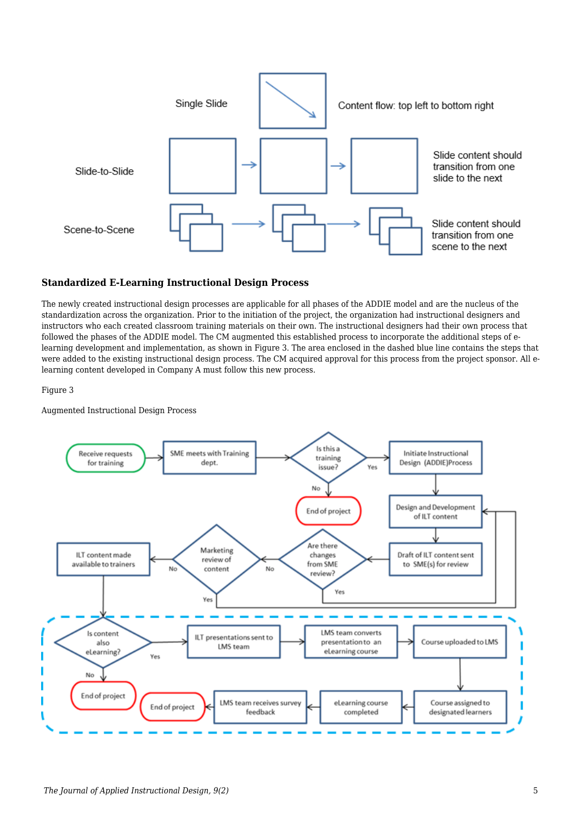

#### **Standardized E-Learning Instructional Design Process**

The newly created instructional design processes are applicable for all phases of the ADDIE model and are the nucleus of the standardization across the organization. Prior to the initiation of the project, the organization had instructional designers and instructors who each created classroom training materials on their own. The instructional designers had their own process that followed the phases of the ADDIE model. The CM augmented this established process to incorporate the additional steps of elearning development and implementation, as shown in Figure 3. The area enclosed in the dashed blue line contains the steps that were added to the existing instructional design process. The CM acquired approval for this process from the project sponsor. All elearning content developed in Company A must follow this new process.

Figure 3

Augmented Instructional Design Process

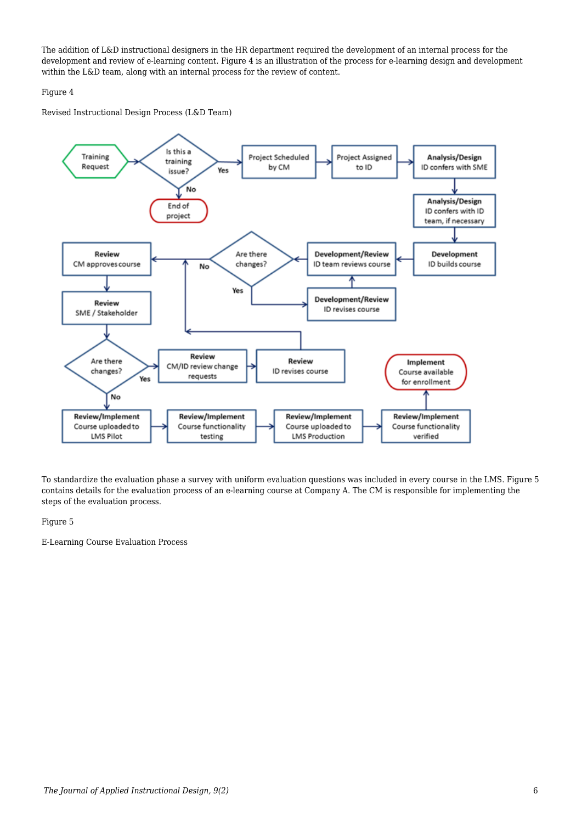The addition of L&D instructional designers in the HR department required the development of an internal process for the development and review of e-learning content. Figure 4 is an illustration of the process for e-learning design and development within the L&D team, along with an internal process for the review of content.

#### Figure 4

Revised Instructional Design Process (L&D Team)



To standardize the evaluation phase a survey with uniform evaluation questions was included in every course in the LMS. Figure 5 contains details for the evaluation process of an e-learning course at Company A. The CM is responsible for implementing the steps of the evaluation process.

#### Figure 5

E-Learning Course Evaluation Process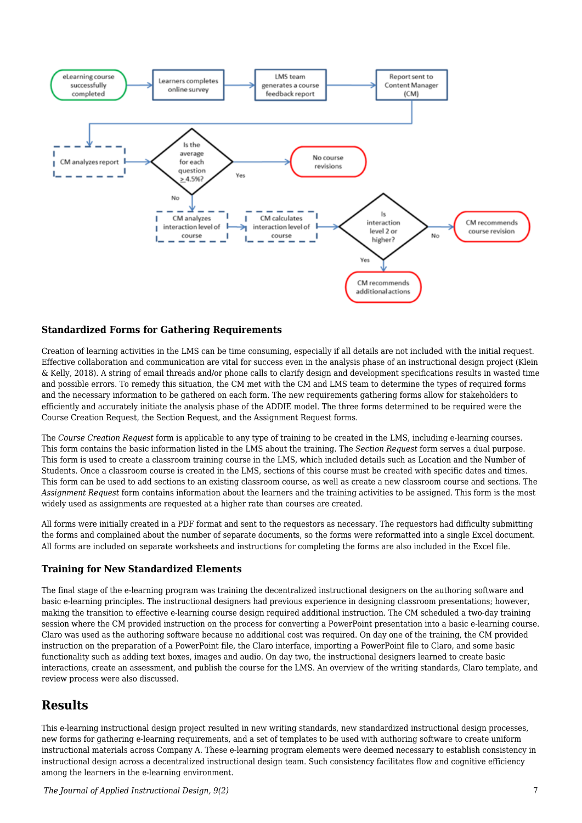

#### **Standardized Forms for Gathering Requirements**

Creation of learning activities in the LMS can be time consuming, especially if all details are not included with the initial request. Effective collaboration and communication are vital for success even in the analysis phase of an instructional design project (Klein & Kelly, 2018). A string of email threads and/or phone calls to clarify design and development specifications results in wasted time and possible errors. To remedy this situation, the CM met with the CM and LMS team to determine the types of required forms and the necessary information to be gathered on each form. The new requirements gathering forms allow for stakeholders to efficiently and accurately initiate the analysis phase of the ADDIE model. The three forms determined to be required were the Course Creation Request, the Section Request, and the Assignment Request forms.

The *Course Creation Request* form is applicable to any type of training to be created in the LMS, including e-learning courses. This form contains the basic information listed in the LMS about the training. The *Section Request* form serves a dual purpose. This form is used to create a classroom training course in the LMS, which included details such as Location and the Number of Students. Once a classroom course is created in the LMS, sections of this course must be created with specific dates and times. This form can be used to add sections to an existing classroom course, as well as create a new classroom course and sections. The *Assignment Request* form contains information about the learners and the training activities to be assigned. This form is the most widely used as assignments are requested at a higher rate than courses are created.

All forms were initially created in a PDF format and sent to the requestors as necessary. The requestors had difficulty submitting the forms and complained about the number of separate documents, so the forms were reformatted into a single Excel document. All forms are included on separate worksheets and instructions for completing the forms are also included in the Excel file.

#### **Training for New Standardized Elements**

The final stage of the e-learning program was training the decentralized instructional designers on the authoring software and basic e-learning principles. The instructional designers had previous experience in designing classroom presentations; however, making the transition to effective e-learning course design required additional instruction. The CM scheduled a two-day training session where the CM provided instruction on the process for converting a PowerPoint presentation into a basic e-learning course. Claro was used as the authoring software because no additional cost was required. On day one of the training, the CM provided instruction on the preparation of a PowerPoint file, the Claro interface, importing a PowerPoint file to Claro, and some basic functionality such as adding text boxes, images and audio. On day two, the instructional designers learned to create basic interactions, create an assessment, and publish the course for the LMS. An overview of the writing standards, Claro template, and review process were also discussed.

### **Results**

This e-learning instructional design project resulted in new writing standards, new standardized instructional design processes, new forms for gathering e-learning requirements, and a set of templates to be used with authoring software to create uniform instructional materials across Company A. These e-learning program elements were deemed necessary to establish consistency in instructional design across a decentralized instructional design team. Such consistency facilitates flow and cognitive efficiency among the learners in the e-learning environment.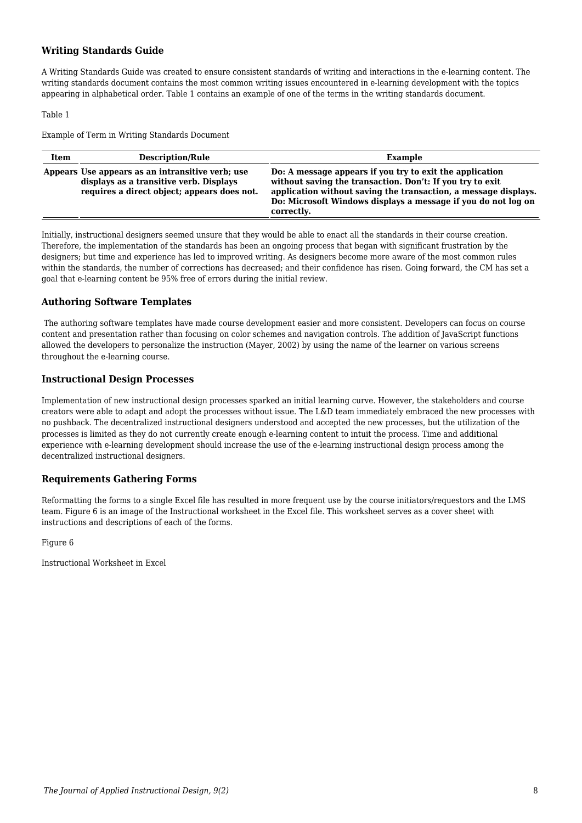#### **Writing Standards Guide**

A Writing Standards Guide was created to ensure consistent standards of writing and interactions in the e-learning content. The writing standards document contains the most common writing issues encountered in e-learning development with the topics appearing in alphabetical order. Table 1 contains an example of one of the terms in the writing standards document.

Table 1

Example of Term in Writing Standards Document

| Item | <b>Description/Rule</b>                                                                                                                    | Example                                                                                                                                                                                                                                                                 |
|------|--------------------------------------------------------------------------------------------------------------------------------------------|-------------------------------------------------------------------------------------------------------------------------------------------------------------------------------------------------------------------------------------------------------------------------|
|      | Appears Use appears as an intransitive verb; use<br>displays as a transitive verb. Displays<br>requires a direct object; appears does not. | Do: A message appears if you try to exit the application<br>without saving the transaction. Don't: If you try to exit<br>application without saving the transaction, a message displays.<br>Do: Microsoft Windows displays a message if you do not log on<br>correctly. |

Initially, instructional designers seemed unsure that they would be able to enact all the standards in their course creation. Therefore, the implementation of the standards has been an ongoing process that began with significant frustration by the designers; but time and experience has led to improved writing. As designers become more aware of the most common rules within the standards, the number of corrections has decreased; and their confidence has risen. Going forward, the CM has set a goal that e-learning content be 95% free of errors during the initial review.

#### **Authoring Software Templates**

 The authoring software templates have made course development easier and more consistent. Developers can focus on course content and presentation rather than focusing on color schemes and navigation controls. The addition of JavaScript functions allowed the developers to personalize the instruction (Mayer, 2002) by using the name of the learner on various screens throughout the e-learning course.

#### **Instructional Design Processes**

Implementation of new instructional design processes sparked an initial learning curve. However, the stakeholders and course creators were able to adapt and adopt the processes without issue. The L&D team immediately embraced the new processes with no pushback. The decentralized instructional designers understood and accepted the new processes, but the utilization of the processes is limited as they do not currently create enough e-learning content to intuit the process. Time and additional experience with e-learning development should increase the use of the e-learning instructional design process among the decentralized instructional designers.

#### **Requirements Gathering Forms**

Reformatting the forms to a single Excel file has resulted in more frequent use by the course initiators/requestors and the LMS team. Figure 6 is an image of the Instructional worksheet in the Excel file. This worksheet serves as a cover sheet with instructions and descriptions of each of the forms.

Figure 6

Instructional Worksheet in Excel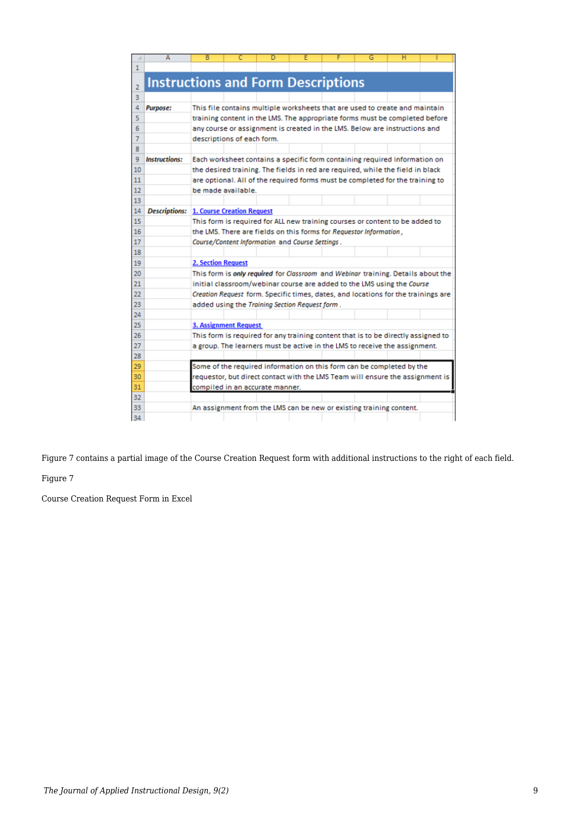| ⊿  | А                                               | в                         |                              | D                                                                                 | E | F | G | н |  |
|----|-------------------------------------------------|---------------------------|------------------------------|-----------------------------------------------------------------------------------|---|---|---|---|--|
| 1  |                                                 |                           |                              |                                                                                   |   |   |   |   |  |
| 2  | <b>Instructions and Form Descriptions</b>       |                           |                              |                                                                                   |   |   |   |   |  |
| 3  |                                                 |                           |                              |                                                                                   |   |   |   |   |  |
| 4  | <b>Purpose:</b>                                 |                           |                              | This file contains multiple worksheets that are used to create and maintain       |   |   |   |   |  |
| 5  |                                                 |                           |                              | training content in the LMS. The appropriate forms must be completed before       |   |   |   |   |  |
| 6  |                                                 |                           |                              | any course or assignment is created in the LMS. Below are instructions and        |   |   |   |   |  |
| 7  |                                                 |                           | descriptions of each form.   |                                                                                   |   |   |   |   |  |
| 8  |                                                 |                           |                              |                                                                                   |   |   |   |   |  |
| 9  | <b>Instructions:</b>                            |                           |                              | Each worksheet contains a specific form containing required information on        |   |   |   |   |  |
| 10 |                                                 |                           |                              | the desired training. The fields in red are required, while the field in black    |   |   |   |   |  |
| 11 |                                                 |                           |                              | are optional. All of the required forms must be completed for the training to     |   |   |   |   |  |
| 12 |                                                 |                           | be made available.           |                                                                                   |   |   |   |   |  |
| 13 |                                                 |                           |                              |                                                                                   |   |   |   |   |  |
| 14 | <b>Descriptions: 1. Course Creation Request</b> |                           |                              |                                                                                   |   |   |   |   |  |
| 15 |                                                 |                           |                              | This form is required for ALL new training courses or content to be added to      |   |   |   |   |  |
| 16 |                                                 |                           |                              | the LMS. There are fields on this forms for Requestor Information,                |   |   |   |   |  |
| 17 |                                                 |                           |                              | Course/Content Information and Course Settings.                                   |   |   |   |   |  |
| 18 |                                                 |                           |                              |                                                                                   |   |   |   |   |  |
| 19 |                                                 | <b>2. Section Request</b> |                              |                                                                                   |   |   |   |   |  |
| 20 |                                                 |                           |                              | This form is only required for Classroom and Webinar training. Details about the  |   |   |   |   |  |
| 21 |                                                 |                           |                              | initial classroom/webinar course are added to the LMS using the Course            |   |   |   |   |  |
| 22 |                                                 |                           |                              | Creation Request form. Specific times, dates, and locations for the trainings are |   |   |   |   |  |
| 23 |                                                 |                           |                              | added using the Training Section Request form.                                    |   |   |   |   |  |
| 24 |                                                 |                           |                              |                                                                                   |   |   |   |   |  |
| 25 |                                                 |                           | <b>3. Assignment Request</b> |                                                                                   |   |   |   |   |  |
| 26 |                                                 |                           |                              | This form is required for any training content that is to be directly assigned to |   |   |   |   |  |
| 27 |                                                 |                           |                              | a group. The learners must be active in the LMS to receive the assignment.        |   |   |   |   |  |
| 28 |                                                 |                           |                              |                                                                                   |   |   |   |   |  |
| 29 |                                                 |                           |                              | Some of the required information on this form can be completed by the             |   |   |   |   |  |
| 30 |                                                 |                           |                              | requestor, but direct contact with the LMS Team will ensure the assignment is     |   |   |   |   |  |
| 31 |                                                 |                           |                              | compiled in an accurate manner.                                                   |   |   |   |   |  |
| 32 |                                                 |                           |                              |                                                                                   |   |   |   |   |  |
| 33 |                                                 |                           |                              | An assignment from the LMS can be new or existing training content.               |   |   |   |   |  |
| 34 |                                                 |                           |                              |                                                                                   |   |   |   |   |  |

Figure 7 contains a partial image of the Course Creation Request form with additional instructions to the right of each field.

Figure 7

Course Creation Request Form in Excel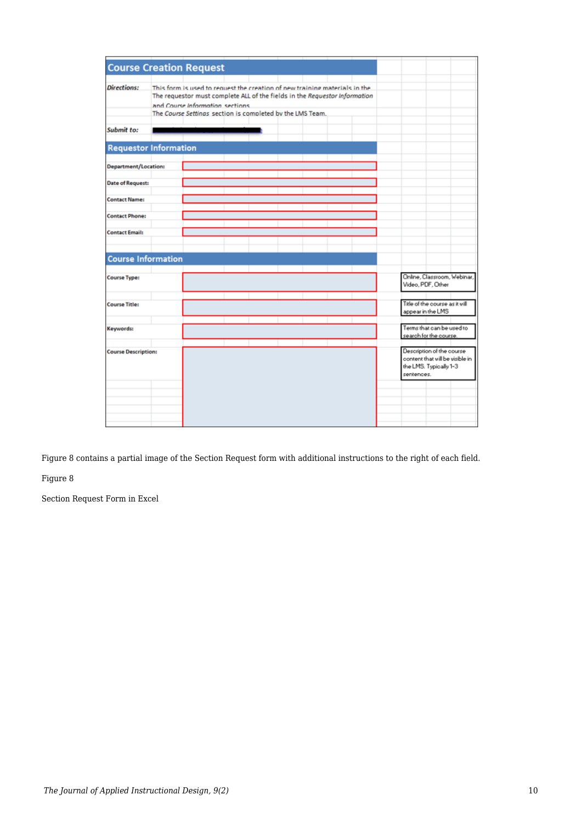| <b>Course Creation Request</b> |                                                                                                                                                                                                                                                           |  |  |  |                   |                                                                                        |  |
|--------------------------------|-----------------------------------------------------------------------------------------------------------------------------------------------------------------------------------------------------------------------------------------------------------|--|--|--|-------------------|----------------------------------------------------------------------------------------|--|
| <b>Directions:</b>             | This form is used to request the creation of new training materials in the<br>The requestor must complete ALL of the fields in the Requestor Information<br>and Course Information sections.<br>The Course Settinas section is completed by the LMS Team. |  |  |  |                   |                                                                                        |  |
| Submit to:                     |                                                                                                                                                                                                                                                           |  |  |  |                   |                                                                                        |  |
| <b>Requestor Information</b>   |                                                                                                                                                                                                                                                           |  |  |  |                   |                                                                                        |  |
| Department/Location:           |                                                                                                                                                                                                                                                           |  |  |  |                   |                                                                                        |  |
| <b>Date of Request:</b>        |                                                                                                                                                                                                                                                           |  |  |  |                   |                                                                                        |  |
| <b>Contact Name:</b>           |                                                                                                                                                                                                                                                           |  |  |  |                   |                                                                                        |  |
| <b>Contact Phone:</b>          |                                                                                                                                                                                                                                                           |  |  |  |                   |                                                                                        |  |
| <b>Contact Email:</b>          |                                                                                                                                                                                                                                                           |  |  |  |                   |                                                                                        |  |
| <b>Course Information</b>      |                                                                                                                                                                                                                                                           |  |  |  |                   |                                                                                        |  |
| <b>Course Type:</b>            |                                                                                                                                                                                                                                                           |  |  |  | Video, PDF, Other | Online, Classroom, Webinar,                                                            |  |
| <b>Course Title:</b>           |                                                                                                                                                                                                                                                           |  |  |  | appear in the LMS | Title of the course as it will                                                         |  |
| Keywords:                      |                                                                                                                                                                                                                                                           |  |  |  |                   | Terms that can be used to<br>search for the course.                                    |  |
| <b>Course Description:</b>     |                                                                                                                                                                                                                                                           |  |  |  | sentences.        | Description of the course<br>content that will be visible in<br>the LMS. Typically 1-3 |  |
|                                |                                                                                                                                                                                                                                                           |  |  |  |                   |                                                                                        |  |
|                                |                                                                                                                                                                                                                                                           |  |  |  |                   |                                                                                        |  |

Figure 8 contains a partial image of the Section Request form with additional instructions to the right of each field.

Figure 8

Section Request Form in Excel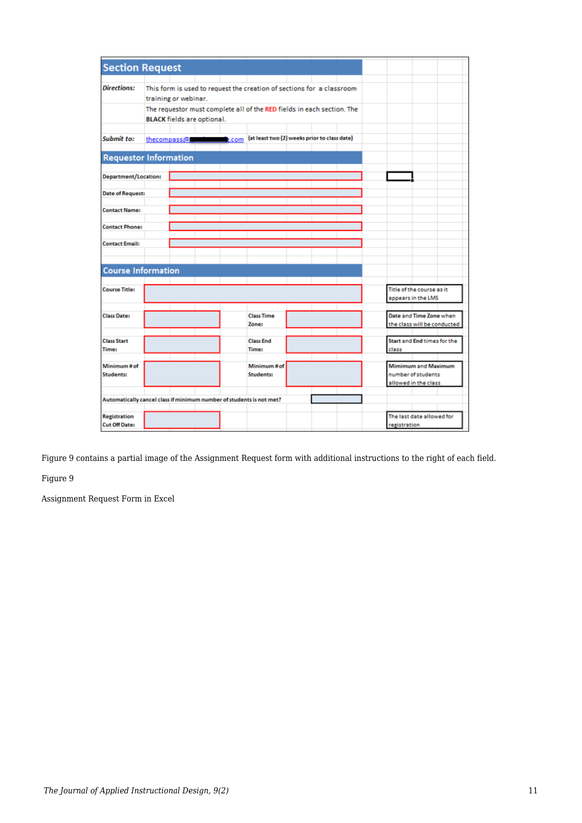| <b>Section Request</b>                                               |                      |                                   |               |                                                                        |  |  |                             |  |
|----------------------------------------------------------------------|----------------------|-----------------------------------|---------------|------------------------------------------------------------------------|--|--|-----------------------------|--|
|                                                                      |                      |                                   |               |                                                                        |  |  |                             |  |
| <b>Directions:</b>                                                   |                      |                                   |               | This form is used to request the creation of sections for a classroom  |  |  |                             |  |
|                                                                      |                      |                                   |               |                                                                        |  |  |                             |  |
|                                                                      | training or webinar. |                                   |               |                                                                        |  |  |                             |  |
|                                                                      |                      |                                   |               | The requestor must complete all of the RED fields in each section. The |  |  |                             |  |
|                                                                      |                      | <b>BLACK</b> fields are optional. |               |                                                                        |  |  |                             |  |
|                                                                      |                      |                                   |               |                                                                        |  |  |                             |  |
| Submit to:                                                           |                      | thecompass@                       | <b>R</b> .com | (at least two (2) weeks prior to class date)                           |  |  |                             |  |
|                                                                      |                      |                                   |               |                                                                        |  |  |                             |  |
|                                                                      |                      |                                   |               |                                                                        |  |  |                             |  |
| <b>Requestor Information</b>                                         |                      |                                   |               |                                                                        |  |  |                             |  |
|                                                                      |                      |                                   |               |                                                                        |  |  |                             |  |
| <b>Department/Location:</b>                                          |                      |                                   |               |                                                                        |  |  |                             |  |
|                                                                      |                      |                                   |               |                                                                        |  |  |                             |  |
| <b>Date of Request:</b>                                              |                      |                                   |               |                                                                        |  |  |                             |  |
|                                                                      |                      |                                   |               |                                                                        |  |  |                             |  |
| <b>Contact Name:</b>                                                 |                      |                                   |               |                                                                        |  |  |                             |  |
|                                                                      |                      |                                   |               |                                                                        |  |  |                             |  |
| <b>Contact Phone:</b>                                                |                      |                                   |               |                                                                        |  |  |                             |  |
|                                                                      |                      |                                   |               |                                                                        |  |  |                             |  |
| <b>Contact Email:</b>                                                |                      |                                   |               |                                                                        |  |  |                             |  |
|                                                                      |                      |                                   |               |                                                                        |  |  |                             |  |
|                                                                      |                      |                                   |               |                                                                        |  |  |                             |  |
| <b>Course Information</b>                                            |                      |                                   |               |                                                                        |  |  |                             |  |
|                                                                      |                      |                                   |               |                                                                        |  |  |                             |  |
|                                                                      |                      |                                   |               |                                                                        |  |  |                             |  |
| <b>Course Title:</b>                                                 |                      |                                   |               |                                                                        |  |  | Title of the course as it   |  |
|                                                                      |                      |                                   |               |                                                                        |  |  | appears in the LMS          |  |
|                                                                      |                      |                                   |               |                                                                        |  |  |                             |  |
| <b>Class Date:</b>                                                   |                      |                                   |               | <b>Class Time</b>                                                      |  |  | Date and Time Zone when     |  |
|                                                                      |                      |                                   |               | Zone:                                                                  |  |  | the class will be conducted |  |
|                                                                      |                      |                                   |               |                                                                        |  |  |                             |  |
| <b>Class Start</b>                                                   |                      |                                   |               | <b>Class End</b>                                                       |  |  | Start and End times for the |  |
| <b>Time:</b>                                                         |                      |                                   |               | <b>Time:</b>                                                           |  |  | class                       |  |
|                                                                      |                      |                                   |               |                                                                        |  |  |                             |  |
| Minimum# of                                                          |                      |                                   |               | Minimum#of                                                             |  |  | Mimimum and Maximum         |  |
| Students:                                                            |                      |                                   |               | Students:                                                              |  |  | number of students          |  |
|                                                                      |                      |                                   |               |                                                                        |  |  | allowed in the class        |  |
|                                                                      |                      |                                   |               |                                                                        |  |  |                             |  |
| Automatically cancel class if minimum number of students is not met? |                      |                                   |               |                                                                        |  |  |                             |  |
|                                                                      |                      |                                   |               |                                                                        |  |  |                             |  |
| <b>Registration</b>                                                  |                      |                                   |               |                                                                        |  |  | The last date allowed for   |  |
| <b>Cut Off Date:</b>                                                 |                      |                                   |               |                                                                        |  |  |                             |  |
|                                                                      |                      |                                   |               |                                                                        |  |  | registration                |  |

Figure 9 contains a partial image of the Assignment Request form with additional instructions to the right of each field.

Figure 9

Assignment Request Form in Excel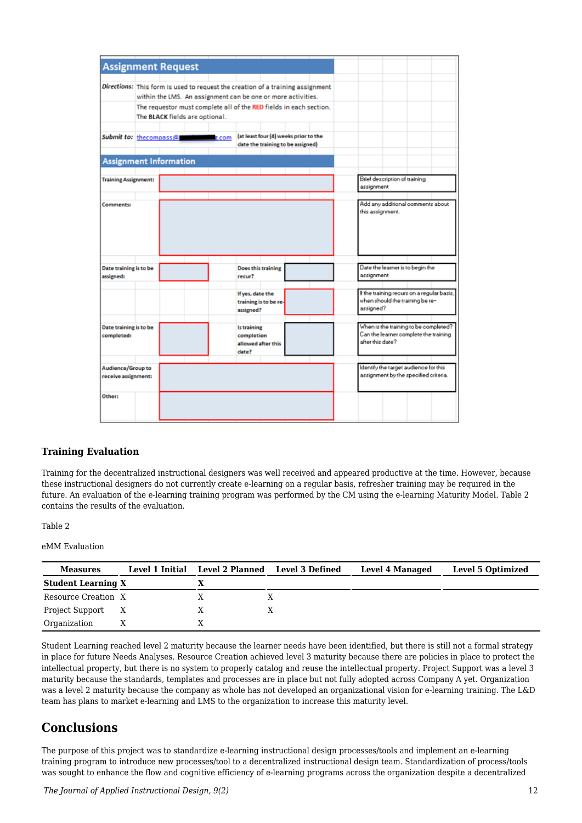| <b>Assignment Request</b>                                                      |                                |                                                                    |                                    |                       |                                       |  |                  |                               |                                                                                |  |
|--------------------------------------------------------------------------------|--------------------------------|--------------------------------------------------------------------|------------------------------------|-----------------------|---------------------------------------|--|------------------|-------------------------------|--------------------------------------------------------------------------------|--|
|                                                                                |                                |                                                                    |                                    |                       |                                       |  |                  |                               |                                                                                |  |
| Directions: This form is used to request the creation of a training assignment |                                |                                                                    |                                    |                       |                                       |  |                  |                               |                                                                                |  |
|                                                                                |                                | within the LMS. An assignment can be one or more activities.       |                                    |                       |                                       |  |                  |                               |                                                                                |  |
|                                                                                |                                | The requestor must complete all of the RED fields in each section. |                                    |                       |                                       |  |                  |                               |                                                                                |  |
|                                                                                | The BLACK fields are optional. |                                                                    |                                    |                       |                                       |  |                  |                               |                                                                                |  |
| Submit to: thecompass@                                                         |                                | z.com                                                              |                                    |                       | (at least four (4) weeks prior to the |  |                  |                               |                                                                                |  |
|                                                                                |                                |                                                                    |                                    |                       | date the training to be assigned)     |  |                  |                               |                                                                                |  |
| <b>Assignment Information</b>                                                  |                                |                                                                    |                                    |                       |                                       |  |                  |                               |                                                                                |  |
| <b>Training Assignment:</b>                                                    |                                |                                                                    |                                    |                       |                                       |  |                  | Brief description of training |                                                                                |  |
|                                                                                |                                |                                                                    |                                    |                       |                                       |  | assignment       |                               |                                                                                |  |
|                                                                                |                                |                                                                    |                                    |                       |                                       |  |                  |                               |                                                                                |  |
| <b>Comments:</b>                                                               |                                |                                                                    |                                    |                       |                                       |  | this assignment. |                               | Add any additional comments about                                              |  |
| Date training is to be                                                         |                                |                                                                    |                                    | Does this training    |                                       |  |                  |                               | Date the learner is to begin the                                               |  |
| assigned:                                                                      |                                |                                                                    | recur?                             |                       |                                       |  | assignment       |                               |                                                                                |  |
|                                                                                |                                |                                                                    | If yes, date the<br>assigned?      | training is to be re- |                                       |  | assigned?        |                               | If the training recurs on a regular basis,<br>when should the training be re-  |  |
| Date training is to be<br>completed:                                           |                                |                                                                    | Is training<br>completion<br>date? | allowed after this    |                                       |  | after this date? |                               | When is the training to be completed?<br>Can the learner complete the training |  |
| Audience/Group to                                                              |                                |                                                                    |                                    |                       |                                       |  |                  |                               | Identify the target audience for this                                          |  |
| receive assignment:                                                            |                                |                                                                    |                                    |                       |                                       |  |                  |                               | assignment by the specified criteria.                                          |  |
| Other:                                                                         |                                |                                                                    |                                    |                       |                                       |  |                  |                               |                                                                                |  |

#### **Training Evaluation**

Training for the decentralized instructional designers was well received and appeared productive at the time. However, because these instructional designers do not currently create e-learning on a regular basis, refresher training may be required in the future. An evaluation of the e-learning training program was performed by the CM using the e-learning Maturity Model. Table 2 contains the results of the evaluation.

#### Table 2

#### eMM Evaluation

| <b>Measures</b>           | Level 1 Initial | Level 2 Planned | <b>Level 3 Defined</b> | <b>Level 4 Managed</b> | Level 5 Optimized |
|---------------------------|-----------------|-----------------|------------------------|------------------------|-------------------|
| <b>Student Learning X</b> |                 |                 |                        |                        |                   |
| Resource Creation X       |                 |                 |                        |                        |                   |
| Project Support           | X               |                 |                        |                        |                   |
| Organization              |                 |                 |                        |                        |                   |

Student Learning reached level 2 maturity because the learner needs have been identified, but there is still not a formal strategy in place for future Needs Analyses. Resource Creation achieved level 3 maturity because there are policies in place to protect the intellectual property, but there is no system to properly catalog and reuse the intellectual property. Project Support was a level 3 maturity because the standards, templates and processes are in place but not fully adopted across Company A yet. Organization was a level 2 maturity because the company as whole has not developed an organizational vision for e-learning training. The L&D team has plans to market e-learning and LMS to the organization to increase this maturity level.

### **Conclusions**

The purpose of this project was to standardize e-learning instructional design processes/tools and implement an e-learning training program to introduce new processes/tool to a decentralized instructional design team. Standardization of process/tools was sought to enhance the flow and cognitive efficiency of e-learning programs across the organization despite a decentralized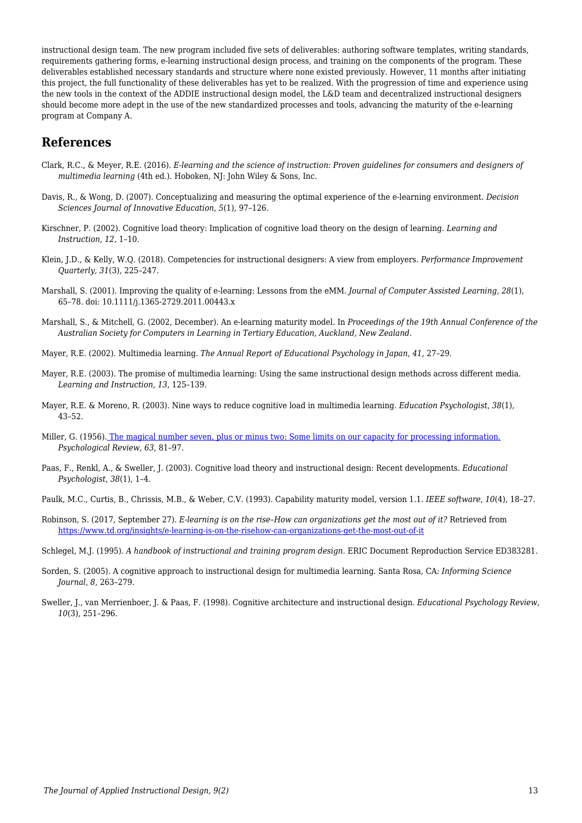instructional design team. The new program included five sets of deliverables: authoring software templates, writing standards, requirements gathering forms, e-learning instructional design process, and training on the components of the program. These deliverables established necessary standards and structure where none existed previously. However, 11 months after initiating this project, the full functionality of these deliverables has yet to be realized. With the progression of time and experience using the new tools in the context of the ADDIE instructional design model, the L&D team and decentralized instructional designers should become more adept in the use of the new standardized processes and tools, advancing the maturity of the e-learning program at Company A.

### **References**

- Clark, R.C., & Meyer, R.E. (2016). *E-learning and the science of instruction: Proven guidelines for consumers and designers of multimedia learning* (4th ed.). Hoboken, NJ: John Wiley & Sons, Inc.
- Davis, R., & Wong, D. (2007). Conceptualizing and measuring the optimal experience of the e-learning environment. *Decision Sciences Journal of Innovative Education*, *5*(1), 97–126.
- Kirschner, P. (2002). Cognitive load theory: Implication of cognitive load theory on the design of learning. *Learning and Instruction, 12,* 1–10.
- Klein, J.D., & Kelly, W.Q. (2018). Competencies for instructional designers: A view from employers. *Performance Improvement Quarterly, 31*(3), 225–247.
- Marshall, S. (2001). Improving the quality of e-learning: Lessons from the eMM. *Journal of Computer Assisted Learning*, *28*(1), 65–78. doi: 10.1111/j.1365-2729.2011.00443.x
- Marshall, S., & Mitchell, G. (2002, December). An e-learning maturity model. In *Proceedings of the 19th Annual Conference of the Australian Society for Computers in Learning in Tertiary Education, Auckland, New Zealand*.
- Mayer, R.E. (2002). Multimedia learning. *The Annual Report of Educational Psychology in Japan*, *41*, 27–29.
- Mayer, R.E. (2003). The promise of multimedia learning: Using the same instructional design methods across different media. *Learning and Instruction*, *13*, 125–139.
- Mayer, R.E. & Moreno, R. (2003). Nine ways to reduce cognitive load in multimedia learning. *Education Psychologist*, *38*(1), 43–52.
- Miller, G. (1956). [The magical number seven, plus or minus two: Some limits on our capacity for processing information.](http://www.musanim.com/miller1956/) *Psychological Review*, *63*, 81–97.
- Paas, F., Renkl, A., & Sweller, J. (2003). Cognitive load theory and instructional design: Recent developments. *Educational Psychologist*, *38*(1), 1–4.
- Paulk, M.C., Curtis, B., Chrissis, M.B., & Weber, C.V. (1993). Capability maturity model, version 1.1. *IEEE software*, *10*(4), 18–27.
- Robinson, S. (2017, September 27). *E-learning is on the rise–How can organizations get the most out of it?* Retrieved from <https://www.td.org/insights/e-learning-is-on-the-risehow-can-organizations-get-the-most-out-of-it>
- Schlegel, M.J. (1995). *A handbook of instructional and training program design*. ERIC Document Reproduction Service ED383281.
- Sorden, S. (2005). A cognitive approach to instructional design for multimedia learning. Santa Rosa, CA*: Informing Science Journal*, *8,* 263–279.
- Sweller, J., van Merrienboer, J. & Paas, F. (1998). Cognitive architecture and instructional design. *Educational Psychology Review*, *10*(3), 251–296.